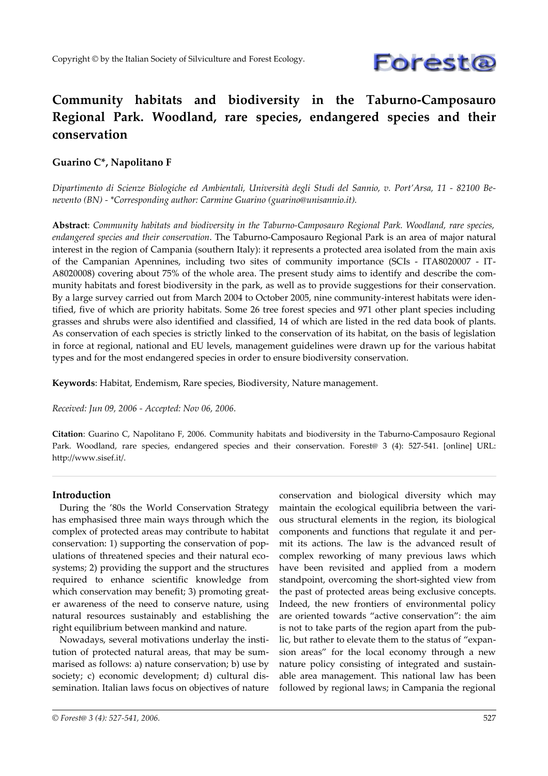

# **Community habitats and biodiversity in the Taburno-Camposauro Regional Park. Woodland, rare species, endangered species and their conservation**

### **Guarino C\*, Napolitano F**

Dipartimento di Scienze Biologiche ed Ambientali, Università degli Studi del Sannio, v. Port'Arsa, 11 - 82100 Be*nevento (BN) - \*Corresponding author: Carmine Guarino (guarino@unisannio.it).*

**Abstract**: *Community habitats and biodiversity in the Taburno-Camposauro Regional Park. Woodland, rare species, endangered species and their conservation*. The Taburno-Camposauro Regional Park is an area of major natural interest in the region of Campania (southern Italy): it represents a protected area isolated from the main axis of the Campanian Apennines, including two sites of community importance (SCIs - ITA8020007 - IT-A8020008) covering about 75% of the whole area. The present study aims to identify and describe the community habitats and forest biodiversity in the park, as well as to provide suggestions for their conservation. By a large survey carried out from March 2004 to October 2005, nine community-interest habitats were identified, five of which are priority habitats. Some 26 tree forest species and 971 other plant species including grasses and shrubs were also identified and classified, 14 of which are listed in the red data book of plants. As conservation of each species is strictly linked to the conservation of its habitat, on the basis of legislation in force at regional, national and EU levels, management guidelines were drawn up for the various habitat types and for the most endangered species in order to ensure biodiversity conservation.

**Keywords**: Habitat, Endemism, Rare species, Biodiversity, Nature management.

*Received: Jun 09, 2006 - Accepted: Nov 06, 2006.*

**Citation**: Guarino C, Napolitano F, 2006. Community habitats and biodiversity in the Taburno-Camposauro Regional Park. Woodland, rare species, endangered species and their conservation. Forest@ 3 (4): 527-541. [online] URL: http://www.sisef.it/.

### **Introduction**

During the '80s the World Conservation Strategy has emphasised three main ways through which the complex of protected areas may contribute to habitat conservation: 1) supporting the conservation of populations of threatened species and their natural ecosystems; 2) providing the support and the structures required to enhance scientific knowledge from which conservation may benefit; 3) promoting greater awareness of the need to conserve nature, using natural resources sustainably and establishing the right equilibrium between mankind and nature.

Nowadays, several motivations underlay the institution of protected natural areas, that may be summarised as follows: a) nature conservation; b) use by society; c) economic development; d) cultural dissemination. Italian laws focus on objectives of nature

conservation and biological diversity which may maintain the ecological equilibria between the various structural elements in the region, its biological components and functions that regulate it and permit its actions. The law is the advanced result of complex reworking of many previous laws which have been revisited and applied from a modern standpoint, overcoming the short-sighted view from the past of protected areas being exclusive concepts. Indeed, the new frontiers of environmental policy are oriented towards "active conservation": the aim is not to take parts of the region apart from the public, but rather to elevate them to the status of "expansion areas" for the local economy through a new nature policy consisting of integrated and sustainable area management. This national law has been followed by regional laws; in Campania the regional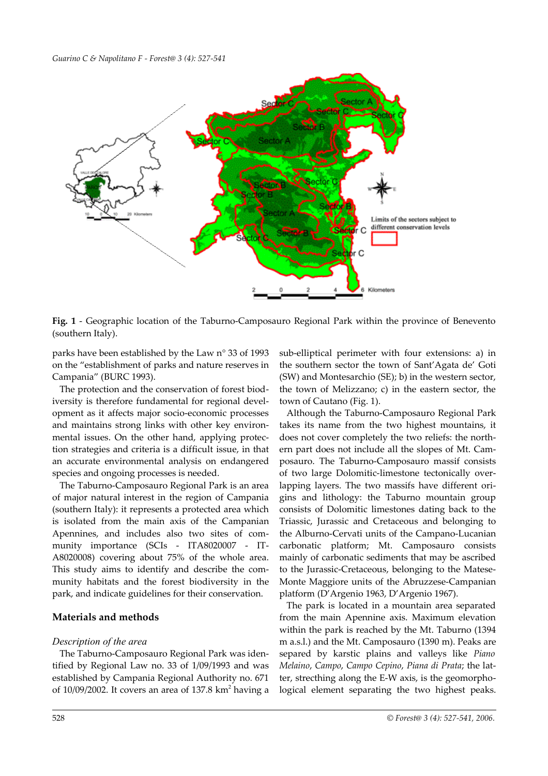

<span id="page-1-0"></span>**Fig. 1** - Geographic location of the Taburno-Camposauro Regional Park within the province of Benevento (southern Italy).

parks have been established by the Law n° 33 of 1993 on the "establishment of parks and nature reserves in Campania" (BURC 1993).

The protection and the conservation of forest biodiversity is therefore fundamental for regional development as it affects major socio-economic processes and maintains strong links with other key environmental issues. On the other hand, applying protection strategies and criteria is a difficult issue, in that an accurate environmental analysis on endangered species and ongoing processes is needed.

The Taburno-Camposauro Regional Park is an area of major natural interest in the region of Campania (southern Italy): it represents a protected area which is isolated from the main axis of the Campanian Apennines, and includes also two sites of community importance (SCIs - ITA8020007 - IT-A8020008) covering about 75% of the whole area. This study aims to identify and describe the community habitats and the forest biodiversity in the park, and indicate guidelines for their conservation.

### **Materials and methods**

### *Description of the area*

The Taburno-Camposauro Regional Park was identified by Regional Law no. 33 of 1/09/1993 and was established by Campania Regional Authority no. 671 of  $10/09/2002$ . It covers an area of 137.8  $km^2$  having a

sub-elliptical perimeter with four extensions: a) in the southern sector the town of Sant'Agata de' Goti (SW) and Montesarchio (SE); b) in the western sector, the town of Melizzano; c) in the eastern sector, the town of Cautano [\(Fig. 1\)](#page-1-0).

Although the Taburno-Camposauro Regional Park takes its name from the two highest mountains, it does not cover completely the two reliefs: the northern part does not include all the slopes of Mt. Camposauro. The Taburno-Camposauro massif consists of two large Dolomitic-limestone tectonically overlapping layers. The two massifs have different origins and lithology: the Taburno mountain group consists of Dolomitic limestones dating back to the Triassic, Jurassic and Cretaceous and belonging to the Alburno-Cervati units of the Campano-Lucanian carbonatic platform; Mt. Camposauro consists mainly of carbonatic sediments that may be ascribed to the Jurassic-Cretaceous, belonging to the Matese-Monte Maggiore units of the Abruzzese-Campanian platform (D'Argenio 1963, D'Argenio 1967).

The park is located in a mountain area separated from the main Apennine axis. Maximum elevation within the park is reached by the Mt. Taburno (1394 m a.s.l.) and the Mt. Camposauro (1390 m). Peaks are separed by karstic plains and valleys like *Piano Melaino*, *Campo*, *Campo Cepino*, *Piana di Prata*; the latter, strecthing along the E-W axis, is the geomorphological element separating the two highest peaks.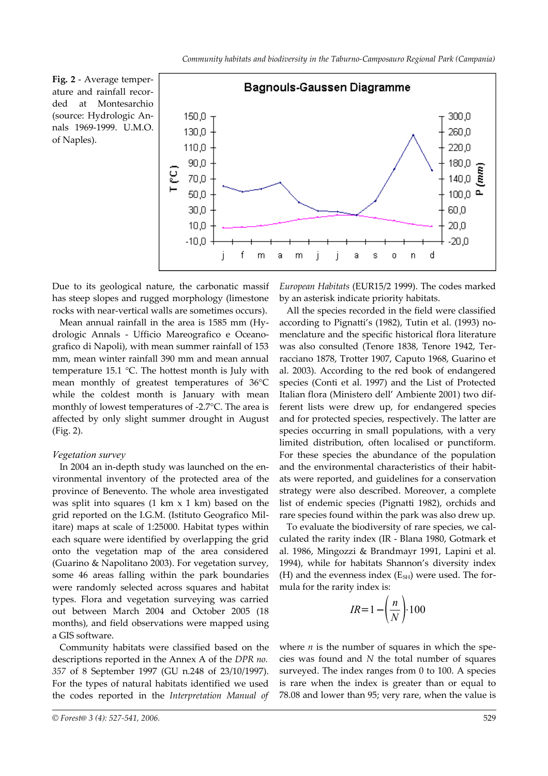<span id="page-2-0"></span>**Fig. 2** - Average temperature and rainfall recorded at Montesarchio (source: Hydrologic Annals 1969-1999. U.M.O. of Naples).



Due to its geological nature, the carbonatic massif has steep slopes and rugged morphology (limestone rocks with near-vertical walls are sometimes occurs).

Mean annual rainfall in the area is 1585 mm (Hydrologic Annals - Ufficio Mareografico e Oceanografico di Napoli), with mean summer rainfall of 153 mm, mean winter rainfall 390 mm and mean annual temperature 15.1 °C. The hottest month is July with mean monthly of greatest temperatures of 36°C while the coldest month is January with mean monthly of lowest temperatures of -2.7°C. The area is affected by only slight summer drought in August [\(Fig. 2](#page-2-0)).

#### *Vegetation survey*

In 2004 an in-depth study was launched on the environmental inventory of the protected area of the province of Benevento. The whole area investigated was split into squares  $(1 \text{ km } x 1 \text{ km})$  based on the grid reported on the I.G.M. (Istituto Geografico Militare) maps at scale of 1:25000. Habitat types within each square were identified by overlapping the grid onto the vegetation map of the area considered (Guarino & Napolitano 2003). For vegetation survey, some 46 areas falling within the park boundaries were randomly selected across squares and habitat types. Flora and vegetation surveying was carried out between March 2004 and October 2005 (18 months), and field observations were mapped using a GIS software.

Community habitats were classified based on the descriptions reported in the Annex A of the *DPR no. 357* of 8 September 1997 (GU n.248 of 23/10/1997). For the types of natural habitats identified we used the codes reported in the *Interpretation Manual of* *European Habitats* (EUR15/2 1999). The codes marked by an asterisk indicate priority habitats.

All the species recorded in the field were classified according to Pignatti's (1982), Tutin et al. (1993) nomenclature and the specific historical flora literature was also consulted (Tenore 1838, Tenore 1942, Terracciano 1878, Trotter 1907, Caputo 1968, Guarino et al. 2003). According to the red book of endangered species (Conti et al. 1997) and the List of Protected Italian flora (Ministero dell' Ambiente 2001) two different lists were drew up, for endangered species and for protected species, respectively. The latter are species occurring in small populations, with a very limited distribution, often localised or punctiform. For these species the abundance of the population and the environmental characteristics of their habitats were reported, and guidelines for a conservation strategy were also described. Moreover, a complete list of endemic species (Pignatti 1982), orchids and rare species found within the park was also drew up.

To evaluate the biodiversity of rare species, we calculated the rarity index (IR - Blana 1980, Gotmark et al. 1986, Mingozzi & Brandmayr 1991, Lapini et al. 1994), while for habitats Shannon's diversity index (H) and the evenness index  $(E_{SH})$  were used. The formula for the rarity index is:

$$
IR = 1 - \left(\frac{n}{N}\right) \cdot 100
$$

where  $n$  is the number of squares in which the species was found and *N* the total number of squares surveyed. The index ranges from 0 to 100. A species is rare when the index is greater than or equal to 78.08 and lower than 95; very rare, when the value is

*<sup>©</sup> Forest@ 3 (4): 527-541, 2006.* 529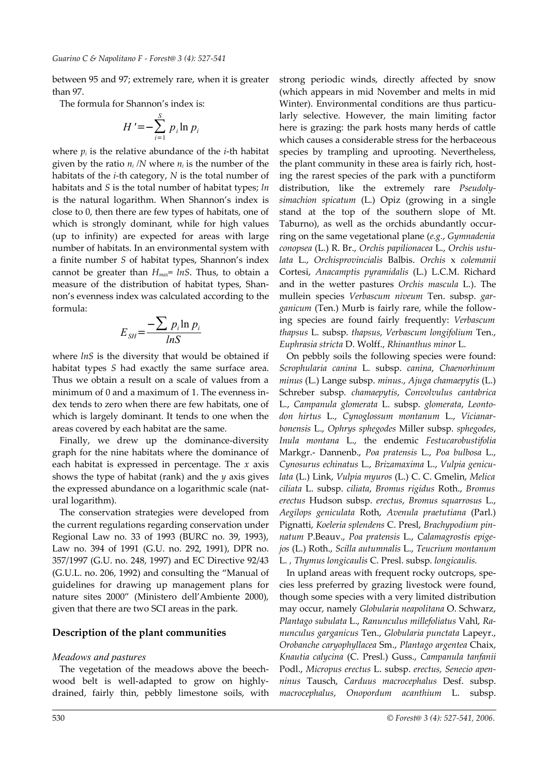between 95 and 97; extremely rare, when it is greater than 97.

The formula for Shannon's index is:

$$
H' = -\sum_{i=1}^{S} p_i \ln p_i
$$

where  $p_i$  is the relative abundance of the *i*-th habitat given by the ratio  $n_i/N$  where  $n_i$  is the number of the habitats of the *i-*th category, *N* is the total number of habitats and *S* is the total number of habitat types; *ln* is the natural logarithm. When Shannon's index is close to 0, then there are few types of habitats, one of which is strongly dominant, while for high values (up to infinity) are expected for areas with large number of habitats. In an environmental system with a finite number *S* of habitat types, Shannon's index cannot be greater than *Hmax*= *lnS*. Thus, to obtain a measure of the distribution of habitat types, Shannon's evenness index was calculated according to the formula:

$$
E_{\rm SH} = \frac{-\sum p_i \ln p_i}{ln S}
$$

where  $lnS$  is the diversity that would be obtained if habitat types *S* had exactly the same surface area. Thus we obtain a result on a scale of values from a minimum of 0 and a maximum of 1. The evenness index tends to zero when there are few habitats, one of which is largely dominant. It tends to one when the areas covered by each habitat are the same.

Finally, we drew up the dominance-diversity graph for the nine habitats where the dominance of each habitat is expressed in percentage. The *x* axis shows the type of habitat (rank) and the *y* axis gives the expressed abundance on a logarithmic scale (natural logarithm).

The conservation strategies were developed from the current regulations regarding conservation under Regional Law no. 33 of 1993 (BURC no. 39, 1993), Law no. 394 of 1991 (G.U. no. 292, 1991), DPR no. 357/1997 (G.U. no. 248, 1997) and EC Directive 92/43 (G.U.L. no. 206, 1992) and consulting the "Manual of guidelines for drawing up management plans for nature sites 2000" (Ministero dell'Ambiente 2000), given that there are two SCI areas in the park.

### **Description of the plant communities**

#### *Meadows and pastures*

The vegetation of the meadows above the beechwood belt is well-adapted to grow on highlydrained, fairly thin, pebbly limestone soils, with

strong periodic winds, directly affected by snow (which appears in mid November and melts in mid Winter). Environmental conditions are thus particularly selective. However, the main limiting factor here is grazing: the park hosts many herds of cattle which causes a considerable stress for the herbaceous species by trampling and uprooting. Nevertheless, the plant community in these area is fairly rich, hosting the rarest species of the park with a punctiform distribution, like the extremely rare *Pseudolysimachion spicatum* (L.) Opiz (growing in a single stand at the top of the southern slope of Mt. Taburno), as well as the orchids abundantly occurring on the same vegetational plane (*e.g.*, *Gymnadenia conopsea* (L.) R. Br., *Orchis papilionacea* L., *Orchis ustulata* L., *Orchisprovincialis* Balbis. *Orchis* x *colemanii* Cortesi, *Anacamptis pyramidalis* (L.) L.C.M. Richard and in the wetter pastures *Orchis mascula* L.). The mullein species *Verbascum niveum* Ten. subsp. *garganicum* (Ten.) Murb is fairly rare, while the following species are found fairly frequently: *Verbascum thapsus* L. subsp. *thapsus*, *Verbascum longifolium* Ten., *Euphrasia stricta* D. Wolff., *Rhinanthus minor* L.

On pebbly soils the following species were found: *Scrophularia canina* L. subsp. *canina*, *Chaenorhinum minus* (L.) Lange subsp. *minus.*, *Ajuga chamaepytis* (L.) Schreber subsp. *chamaepytis*, *Convolvulus cantabrica* L., *Campanula glomerata* L. subsp. *glomerata*, *Leontodon hirtus* L., *Cynoglossum montanum* L., *Vicianarbonensis* L., *Ophrys sphegodes* Miller subsp. *sphegodes*, *Inula montana* L., the endemic *Festucarobustifolia* Markgr.- Dannenb., *Poa pratensis* L., *Poa bulbosa* L., *Cynosurus echinatus* L., *Brizamaxima* L., *Vulpia geniculata* (L.) Link, *Vulpia myuros* (L.) C. C. Gmelin, *Melica ciliata* L. subsp. *ciliata*, *Bromus rigidus* Roth., *Bromus erectus* Hudson subsp. *erectus*, *Bromus squarrosus* L., *Aegilops geniculata* Roth, *Avenula praetutiana* (Parl.) Pignatti, *Koeleria splendens* C. Presl, *Brachypodium pinnatum* P.Beauv., *Poa pratensis* L., *Calamagrostis epigejos* (L.) Roth., *Scilla autumnalis* L., *Teucrium montanum* L. *, Thymus longicaulis* C. Presl. subsp. *longicaulis.*

In upland areas with frequent rocky outcrops, species less preferred by grazing livestock were found, though some species with a very limited distribution may occur, namely *Globularia neapolitana* O. Schwarz, *Plantago subulata* L., *Ranunculus millefoliatus* Vahl, *Ranunculus garganicus* Ten., *Globularia punctata* Lapeyr., *Orobanche caryophyllacea* Sm., *Plantago argentea* Chaix, *Knautia calycina* (C. Presl.) Guss., *Campanula tanfanii* Podl., *Micropus erectus* L. subsp. *erectus, Senecio apenninus* Tausch, *Carduus macrocephalus* Desf. subsp. *macrocephalus*, *Onopordum acanthium* L. subsp.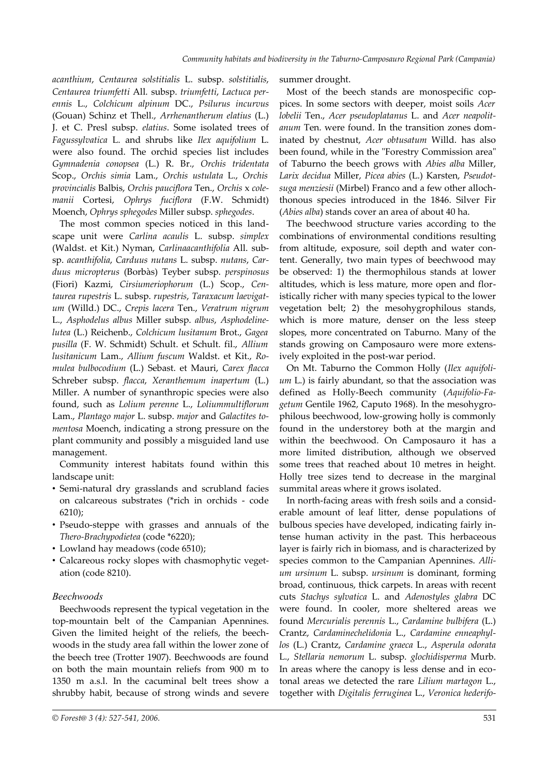*acanthium*, *Centaurea solstitialis* L. subsp. *solstitialis*, *Centaurea triumfetti* All. subsp. *triumfetti*, *Lactuca perennis* L., *Colchicum alpinum* DC., *Psilurus incurvus* (Gouan) Schinz et Thell., *Arrhenantherum elatius* (L.) J. et C. Presl subsp. *elatius*. Some isolated trees of *Fagussylvatica* L. and shrubs like *Ilex aquifolium* L. were also found. The orchid species list includes *Gymnadenia conopsea* (L.) R. Br., *Orchis tridentata* Scop., *Orchis simia* Lam., *Orchis ustulata* L., *Orchis provincialis* Balbis, *Orchis pauciflora* Ten., *Orchis* x *colemanii* Cortesi, *Ophrys fuciflora* (F.W. Schmidt) Moench, *Ophrys sphegodes* Miller subsp. *sphegodes*.

The most common species noticed in this landscape unit were *Carlina acaulis* L. subsp. *simplex* (Waldst. et Kit.) Nyman, *Carlinaacanthifolia* All. subsp. *acanthifolia*, *Carduus nutans* L. subsp. *nutans*, *Carduus micropterus* (Borbàs) Teyber subsp. *perspinosus* (Fiori) Kazmi, *Cirsiumeriophorum* (L.) Scop., *Centaurea rupestris* L. subsp. *rupestris*, *Taraxacum laevigatum* (Willd.) DC., *Crepis lacera* Ten., *Veratrum nigrum* L., *Asphodelus albus* Miller subsp. *albus*, *Asphodelinelutea* (L.) Reichenb., *Colchicum lusitanum* Brot., *Gagea pusilla* (F. W. Schmidt) Schult. et Schult. fil., *Allium lusitanicum* Lam., *Allium fuscum* Waldst. et Kit., *Romulea bulbocodium* (L.) Sebast. et Mauri, *Carex flacca* Schreber subsp. *flacca*, *Xeranthemum inapertum* (L.) Miller. A number of synanthropic species were also found, such as *Lolium perenne* L., *Loliummultiflorum* Lam., *Plantago major* L. subsp. *major* and *Galactites tomentosa* Moench, indicating a strong pressure on the plant community and possibly a misguided land use management.

Community interest habitats found within this landscape unit:

- Semi-natural dry grasslands and scrubland facies on calcareous substrates (\*rich in orchids - code 6210);
- Pseudo-steppe with grasses and annuals of the *Thero-Brachypodietea* (code \*6220);
- Lowland hay meadows (code 6510);
- Calcareous rocky slopes with chasmophytic vegetation (code 8210).

### *Beechwoods*

Beechwoods represent the typical vegetation in the top-mountain belt of the Campanian Apennines. Given the limited height of the reliefs, the beechwoods in the study area fall within the lower zone of the beech tree (Trotter 1907). Beechwoods are found on both the main mountain reliefs from 900 m to 1350 m a.s.l. In the cacuminal belt trees show a shrubby habit, because of strong winds and severe summer drought.

Most of the beech stands are monospecific coppices. In some sectors with deeper, moist soils *Acer lobelii* Ten., *Acer pseudoplatanus* L. and *Acer neapolitanum* Ten. were found. In the transition zones dominated by chestnut, *Acer obtusatum* Willd. has also been found, while in the "Forestry Commission area" of Taburno the beech grows with *Abies alba* Miller, *Larix decidua* Miller, *Picea abies* (L.) Karsten, *Pseudotsuga menziesii* (Mirbel) Franco and a few other allochthonous species introduced in the 1846. Silver Fir (*Abies alba*) stands cover an area of about 40 ha.

The beechwood structure varies according to the combinations of environmental conditions resulting from altitude, exposure, soil depth and water content. Generally, two main types of beechwood may be observed: 1) the thermophilous stands at lower altitudes, which is less mature, more open and floristically richer with many species typical to the lower vegetation belt; 2) the mesohygrophilous stands, which is more mature, denser on the less steep slopes, more concentrated on Taburno. Many of the stands growing on Camposauro were more extensively exploited in the post-war period.

On Mt. Taburno the Common Holly (*Ilex aquifolium* L.) is fairly abundant, so that the association was defined as Holly-Beech community (*Aquifolio-Fagetum* Gentile 1962, Caputo 1968). In the mesohygrophilous beechwood, low-growing holly is commonly found in the understorey both at the margin and within the beechwood. On Camposauro it has a more limited distribution, although we observed some trees that reached about 10 metres in height. Holly tree sizes tend to decrease in the marginal summital areas where it grows isolated.

In north-facing areas with fresh soils and a considerable amount of leaf litter, dense populations of bulbous species have developed, indicating fairly intense human activity in the past. This herbaceous layer is fairly rich in biomass, and is characterized by species common to the Campanian Apennines. *Allium ursinum* L. subsp. *ursinum* is dominant, forming broad, continuous, thick carpets. In areas with recent cuts *Stachys sylvatica* L. and *Adenostyles glabra* DC were found. In cooler, more sheltered areas we found *Mercurialis perennis* L., *Cardamine bulbifera* (L.) Crantz, *Cardaminechelidonia* L., *Cardamine enneaphyllos* (L.) Crantz, *Cardamine graeca* L., *Asperula odorata* L., *Stellaria nemorum* L. subsp. *glochidisperma* Murb. In areas where the canopy is less dense and in ecotonal areas we detected the rare *Lilium martagon* L., together with *Digitalis ferruginea* L., *Veronica hederifo-*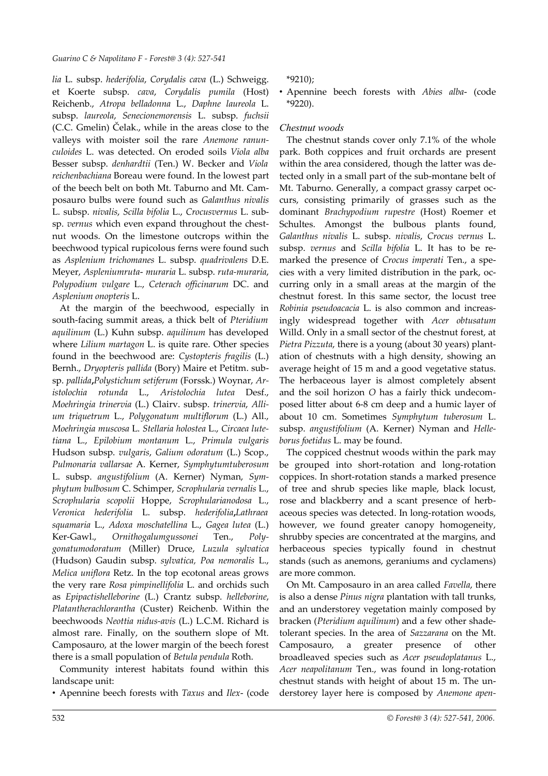*lia* L. subsp. *hederifolia*, *Corydalis cava* (L.) Schweigg. et Koerte subsp. *cava*, *Corydalis pumila* (Host) Reichenb., *Atropa belladonna* L., *Daphne laureola* L. subsp. *laureola*, *Senecionemorensis* L. subsp. *fuchsii* (C.C. Gmelin) Čelak., while in the areas close to the valleys with moister soil the rare *Anemone ranunculoides* L. was detected. On eroded soils *Viola alba* Besser subsp. *denhardtii* (Ten.) W. Becker and *Viola reichenbachiana* Boreau were found. In the lowest part of the beech belt on both Mt. Taburno and Mt. Camposauro bulbs were found such as *Galanthus nivalis* L. subsp. *nivalis*, *Scilla bifolia* L., *Crocusvernus* L. subsp. *vernus* which even expand throughout the chestnut woods. On the limestone outcrops within the beechwood typical rupicolous ferns were found such as *Asplenium trichomanes* L. subsp. *quadrivalens* D.E. Meyer, *Aspleniumruta*- *muraria* L. subsp. *ruta-muraria*, *Polypodium vulgare* L., *Ceterach officinarum* DC. and *Asplenium onopteris* L.

At the margin of the beechwood, especially in south-facing summit areas, a thick belt of *Pteridium aquilinum* (L.) Kuhn subsp. *aquilinum* has developed where *Lilium martagon* L. is quite rare. Other species found in the beechwood are: *Cystopteris fragilis* (L.) Bernh., *Dryopteris pallida* (Bory) Maire et Petitm. subsp. *pallida***,***Polystichum setiferum* (Forssk.) Woynar, *Aristolochia rotunda* L., *Aristolochia lutea* Desf., *Moehringia trinervia* (L.) Clairv. subsp. *trinervia*, *Allium triquetrum* L., *Polygonatum multiflorum* (L.) All., *Moehringia muscosa* L. *Stellaria holostea* L., *Circaea lutetiana* L., *Epilobium montanum* L., *Primula vulgaris* Hudson subsp. *vulgaris*, *Galium odoratum* (L.) Scop., *Pulmonaria vallarsae* A. Kerner, *Symphytumtuberosum* L. subsp. *angustifolium* (A. Kerner) Nyman, *Symphytum bulbosum* C. Schimper, *Scrophularia vernalis* L., *Scrophularia scopolii* Hoppe, *Scrophularianodosa* L., *Veronica hederifolia* L. subsp. *hederifolia***,***Lathraea squamaria* L., *Adoxa moschatellina* L., *Gagea lutea* (L.) Ker-Gawl., *Ornithogalumgussonei* Ten., *Polygonatumodoratum* (Miller) Druce, *Luzula sylvatica* (Hudson) Gaudin subsp. *sylvatica, Poa nemoralis* L., *Melica uniflora* Retz. In the top ecotonal areas grows the very rare *Rosa pimpinellifolia* L. and orchids such as *Epipactishelleborine* (L.) Crantz subsp. *helleborine*, *Platantherachlorantha* (Custer) Reichenb. Within the beechwoods *Neottia nidus-avis* (L.) L.C.M. Richard is almost rare. Finally, on the southern slope of Mt. Camposauro, at the lower margin of the beech forest there is a small population of *Betula pendula* Roth.

Community interest habitats found within this landscape unit:

• Apennine beech forests with *Taxus* and *Ilex*- (code

\*9210);

• Apennine beech forests with *Abies alba*- (code \*9220).

# *Chestnut woods*

The chestnut stands cover only 7.1% of the whole park. Both coppices and fruit orchards are present within the area considered, though the latter was detected only in a small part of the sub-montane belt of Mt. Taburno. Generally, a compact grassy carpet occurs, consisting primarily of grasses such as the dominant *Brachypodium rupestre* (Host) Roemer et Schultes. Amongst the bulbous plants found, *Galanthus nivalis* L. subsp. *nivalis*, *Crocus vernus* L. subsp. *vernus* and *Scilla bifolia* L. It has to be remarked the presence of *Crocus imperati* Ten., a species with a very limited distribution in the park, occurring only in a small areas at the margin of the chestnut forest. In this same sector, the locust tree *Robinia pseudoacacia* L. is also common and increasingly widespread together with *Acer obtusatum* Willd. Only in a small sector of the chestnut forest, at *Pietra Pizzuta*, there is a young (about 30 years) plantation of chestnuts with a high density, showing an average height of 15 m and a good vegetative status. The herbaceous layer is almost completely absent and the soil horizon *O* has a fairly thick undecomposed litter about 6-8 cm deep and a humic layer of about 10 cm. Sometimes *Symphytum tuberosum* L. subsp. *angustifolium* (A. Kerner) Nyman and *Helleborus foetidus* L. may be found.

The coppiced chestnut woods within the park may be grouped into short-rotation and long-rotation coppices. In short-rotation stands a marked presence of tree and shrub species like maple, black locust, rose and blackberry and a scant presence of herbaceous species was detected. In long-rotation woods, however, we found greater canopy homogeneity, shrubby species are concentrated at the margins, and herbaceous species typically found in chestnut stands (such as anemons, geraniums and cyclamens) are more common.

On Mt. Camposauro in an area called *Favella*, there is also a dense *Pinus nigra* plantation with tall trunks, and an understorey vegetation mainly composed by bracken (*Pteridium aquilinum*) and a few other shadetolerant species. In the area of *Sazzarana* on the Mt. Camposauro, a greater presence of other broadleaved species such as *Acer pseudoplatanus* L., *Acer neapolitanum* Ten., was found in long-rotation chestnut stands with height of about 15 m. The understorey layer here is composed by *Anemone apen-*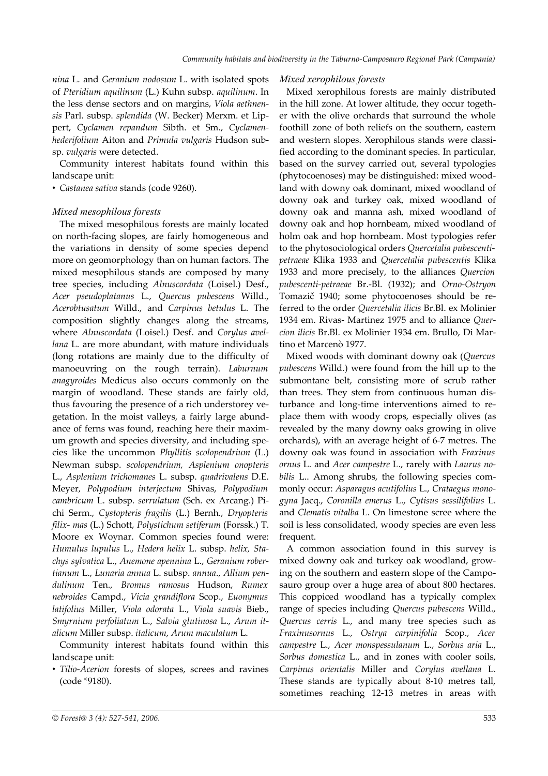*nina* L. and *Geranium nodosum* L. with isolated spots of *Pteridium aquilinum* (L.) Kuhn subsp. *aquilinum*. In the less dense sectors and on margins, *Viola aethnensis* Parl. subsp. *splendida* (W. Becker) Merxm. et Lippert, *Cyclamen repandum* Sibth. et Sm., *Cyclamenhederifolium* Aiton and *Primula vulgaris* Hudson subsp. *vulgaris* were detected.

Community interest habitats found within this landscape unit:

• *Castanea sativa* stands (code 9260).

### *Mixed mesophilous forests*

The mixed mesophilous forests are mainly located on north-facing slopes, are fairly homogeneous and the variations in density of some species depend more on geomorphology than on human factors. The mixed mesophilous stands are composed by many tree species, including *Alnuscordata* (Loisel.) Desf., *Acer pseudoplatanus* L., *Quercus pubescens* Willd., *Acerobtusatum* Willd., and *Carpinus betulus* L. The composition slightly changes along the streams, where *Alnuscordata* (Loisel.) Desf. and *Corylus avellana* L. are more abundant, with mature individuals (long rotations are mainly due to the difficulty of manoeuvring on the rough terrain). *Laburnum anagyroides* Medicus also occurs commonly on the margin of woodland. These stands are fairly old, thus favouring the presence of a rich understorey vegetation. In the moist valleys, a fairly large abundance of ferns was found, reaching here their maximum growth and species diversity, and including species like the uncommon *Phyllitis scolopendrium* (L.) Newman subsp. *scolopendrium, Asplenium onopteris* L., *Asplenium trichomanes* L. subsp. *quadrivalens* D.E. Meyer, *Polypodium interjectum* Shivas, *Polypodium cambricum* L. subsp. *serrulatum* (Sch. ex Arcang.) Pichi Serm., *Cystopteris fragilis* (L.) Bernh., *Dryopteris filix- mas* (L.) Schott, *Polystichum setiferum* (Forssk.) T. Moore ex Woynar. Common species found were: *Humulus lupulus* L., *Hedera helix* L. subsp. *helix, Stachys sylvatica* L., *Anemone apennina* L., *Geranium robertianum* L., *Lunaria annua* L. subsp. *annua*., *Allium pendulinum* Ten., *Bromus ramosus* Hudson, *Rumex nebroides* Campd., *Vicia grandiflora* Scop., *Euonymus latifolius* Miller, *Viola odorata* L., *Viola suavis* Bieb., *Smyrnium perfoliatum* L., *Salvia glutinosa* L., *Arum italicum* Miller subsp. *italicum*, *Arum maculatum* L.

Community interest habitats found within this landscape unit:

• *Tilio-Acerion* forests of slopes, screes and ravines (code \*9180).

#### *Mixed xerophilous forests*

Mixed xerophilous forests are mainly distributed in the hill zone. At lower altitude, they occur together with the olive orchards that surround the whole foothill zone of both reliefs on the southern, eastern and western slopes. Xerophilous stands were classified according to the dominant species. In particular, based on the survey carried out, several typologies (phytocoenoses) may be distinguished: mixed woodland with downy oak dominant, mixed woodland of downy oak and turkey oak, mixed woodland of downy oak and manna ash, mixed woodland of downy oak and hop hornbeam, mixed woodland of holm oak and hop hornbeam. Most typologies refer to the phytosociological orders *Quercetalia pubescentipetraeae* Klika 1933 and *Quercetalia pubescentis* Klika 1933 and more precisely, to the alliances *Quercion pubescenti-petraeae* Br.-Bl. (1932); and *Orno-Ostryon* Tomazič 1940; some phytocoenoses should be referred to the order *Quercetalia ilicis* Br.Bl. ex Molinier 1934 em. Rivas- Martinez 1975 and to alliance *Quercion ilicis* Br.Bl. ex Molinier 1934 em. Brullo, Di Martino et Marcenò 1977.

Mixed woods with dominant downy oak (*Quercus pubescens* Willd.) were found from the hill up to the submontane belt, consisting more of scrub rather than trees. They stem from continuous human disturbance and long-time interventions aimed to replace them with woody crops, especially olives (as revealed by the many downy oaks growing in olive orchards), with an average height of 6-7 metres. The downy oak was found in association with *Fraxinus ornus* L. and *Acer campestre* L., rarely with *Laurus nobilis* L.. Among shrubs, the following species commonly occur: *Asparagus acutifolius* L., *Crataegus monogyna* Jacq., *Coronilla emerus* L., *Cytisus sessilifolius* L. and *Clematis vitalba* L. On limestone scree where the soil is less consolidated, woody species are even less frequent.

A common association found in this survey is mixed downy oak and turkey oak woodland, growing on the southern and eastern slope of the Camposauro group over a huge area of about 800 hectares. This coppiced woodland has a typically complex range of species including *Quercus pubescens* Willd., *Quercus cerris* L., and many tree species such as *Fraxinusornus* L., *Ostrya carpinifolia* Scop., *Acer campestre* L., *Acer monspessulanum* L., *Sorbus aria* L., *Sorbus domestica* L., and in zones with cooler soils, *Carpinus orientalis* Miller and *Corylus avellana* L. These stands are typically about 8-10 metres tall, sometimes reaching 12-13 metres in areas with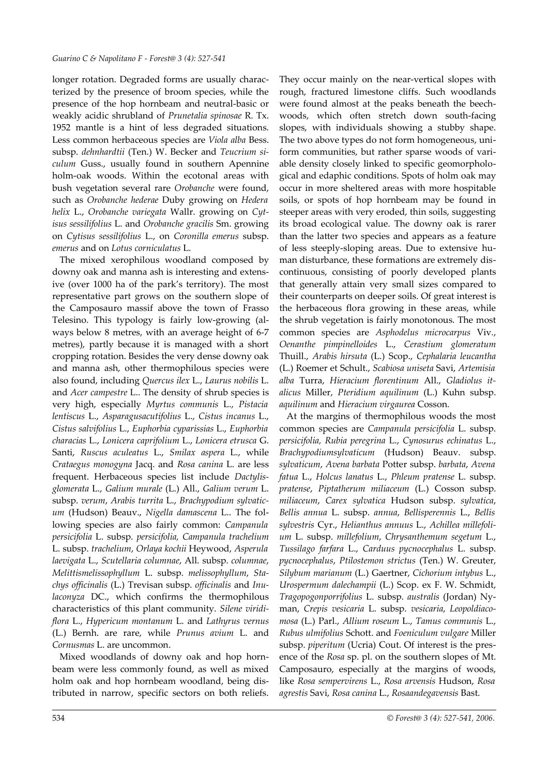longer rotation. Degraded forms are usually characterized by the presence of broom species, while the presence of the hop hornbeam and neutral-basic or weakly acidic shrubland of *Prunetalia spinosae* R. Tx. 1952 mantle is a hint of less degraded situations. Less common herbaceous species are *Viola alba* Bess. subsp. *dehnhardtii* (Ten.) W. Becker and *Teucrium siculum* Guss., usually found in southern Apennine holm-oak woods. Within the ecotonal areas with bush vegetation several rare *Orobanche* were found, such as *Orobanche hederae* Duby growing on *Hedera helix* L., *Orobanche variegata* Wallr. growing on *Cytisus sessilifolius* L. and *Orobanche gracilis* Sm. growing on *Cytisus sessilifolius* L., on *Coronilla emerus* subsp. *emerus* and on *Lotus corniculatus* L.

The mixed xerophilous woodland composed by downy oak and manna ash is interesting and extensive (over 1000 ha of the park's territory). The most representative part grows on the southern slope of the Camposauro massif above the town of Frasso Telesino. This typology is fairly low-growing (always below 8 metres, with an average height of 6-7 metres), partly because it is managed with a short cropping rotation. Besides the very dense downy oak and manna ash, other thermophilous species were also found, including *Quercus ilex* L., *Laurus nobilis* L. and *Acer campestre* L.. The density of shrub species is very high, especially *Myrtus communis* L., *Pistacia lentiscus* L., *Asparagusacutifolius* L., *Cistus incanus* L., *Cistus salvifolius* L., *Euphorbia cyparissias* L., *Euphorbia characias* L., *Lonicera caprifolium* L., *Lonicera etrusca* G. Santi, *Ruscus aculeatus* L., *Smilax aspera* L., while *Crataegus monogyna* Jacq. and *Rosa canina* L. are less frequent. Herbaceous species list include *Dactylisglomerata* L., *Galium murale* (L.) All., *Galium verum* L. subsp. *verum*, *Arabis turrita* L., *Brachypodium sylvaticum* (Hudson) Beauv., *Nigella damascena* L.. The following species are also fairly common: *Campanula persicifolia* L. subsp. *persicifolia, Campanula trachelium* L. subsp. *trachelium*, *Orlaya kochii* Heywood, *Asperula laevigata* L., *Scutellaria columnae*, All. subsp. *columnae*, *Melittismelissophyllum* L. subsp. *melissophyllum*, *Stachys officinalis* (L.) Trevisan subsp. *officinalis* and *Inulaconyza* DC., which confirms the thermophilous characteristics of this plant community. *Silene viridiflora* L., *Hypericum montanum* L. and *Lathyrus vernus* (L.) Bernh. are rare, while *Prunus avium* L. and *Cornusmas* L. are uncommon.

Mixed woodlands of downy oak and hop hornbeam were less commonly found, as well as mixed holm oak and hop hornbeam woodland, being distributed in narrow, specific sectors on both reliefs.

They occur mainly on the near-vertical slopes with rough, fractured limestone cliffs. Such woodlands were found almost at the peaks beneath the beechwoods, which often stretch down south-facing slopes, with individuals showing a stubby shape. The two above types do not form homogeneous, uniform communities, but rather sparse woods of variable density closely linked to specific geomorphological and edaphic conditions. Spots of holm oak may occur in more sheltered areas with more hospitable soils, or spots of hop hornbeam may be found in steeper areas with very eroded, thin soils, suggesting its broad ecological value. The downy oak is rarer than the latter two species and appears as a feature of less steeply-sloping areas. Due to extensive human disturbance, these formations are extremely discontinuous, consisting of poorly developed plants that generally attain very small sizes compared to their counterparts on deeper soils. Of great interest is the herbaceous flora growing in these areas, while the shrub vegetation is fairly monotonous. The most common species are *Asphodelus microcarpus* Viv*.*, *Oenanthe pimpinelloides* L., *Cerastium glomeratum* Thuill., *Arabis hirsuta* (L.) Scop., *Cephalaria leucantha* (L.) Roemer et Schult., *Scabiosa uniseta* Savi, *Artemisia alba* Turra, *Hieracium florentinum* All., *Gladiolus italicus* Miller, *Pteridium aquilinum* (L.) Kuhn subsp. *aquilinum* and *Hieracium virgaurea* Cosson.

At the margins of thermophilous woods the most common species are *Campanula persicifolia* L. subsp. *persicifolia, Rubia peregrina* L., *Cynosurus echinatus* L., *Brachypodiumsylvaticum* (Hudson) Beauv. subsp. *sylvaticum*, *Avena barbata* Potter subsp. *barbata*, *Avena fatua* L., *Holcus lanatus* L., *Phleum pratense* L. subsp. *pratense*, *Piptatherum miliaceum* (L.) Cosson subsp. *miliaceum*, *Carex sylvatica* Hudson subsp. *sylvatica*, *Bellis annua* L. subsp. *annua*, *Bellisperennis* L., *Bellis sylvestris* Cyr., *Helianthus annuus* L., *Achillea millefolium* L. subsp. *millefolium*, *Chrysanthemum segetum* L., *Tussilago farfara* L., *Carduus pycnocephalus* L. subsp. *pycnocephalus*, *Ptilostemon strictus* (Ten.) W. Greuter, *Silybum marianum* (L.) Gaertner, *Cichorium intybus* L., *Urospermum dalechampii* (L.) Scop. ex F. W. Schmidt, *Tragopogonporrifolius* L. subsp. *australis* (Jordan) Nyman, *Crepis vesicaria* L. subsp. *vesicaria*, *Leopoldiacomosa* (L.) Parl., *Allium roseum* L., *Tamus communis* L., *Rubus ulmifolius* Schott. and *Foeniculum vulgare* Miller subsp. *piperitum* (Ucria) Cout. Of interest is the presence of the *Rosa* sp. pl. on the southern slopes of Mt. Camposauro, especially at the margins of woods, like *Rosa sempervirens* L., *Rosa arvensis* Hudson, *Rosa agrestis* Savi, *Rosa canina* L., *Rosaandegavensis* Bast.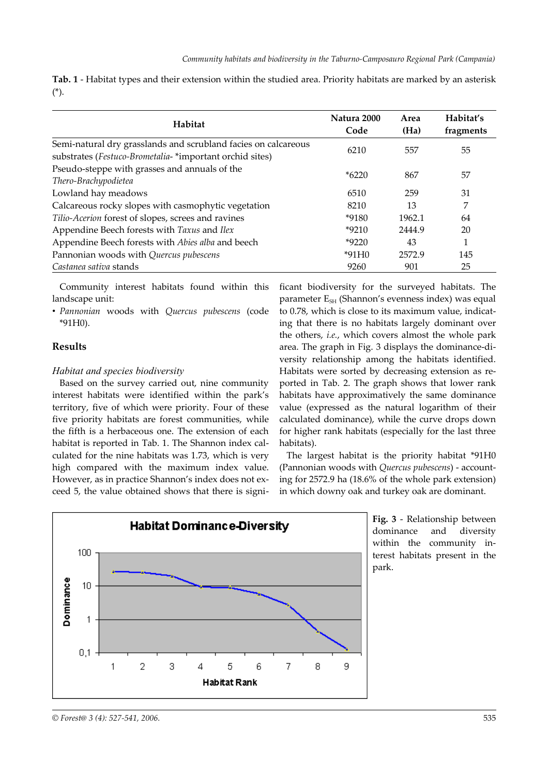<span id="page-8-1"></span>

|        | Tab. 1 - Habitat types and their extension within the studied area. Priority habitats are marked by an asterisk |  |  |  |  |
|--------|-----------------------------------------------------------------------------------------------------------------|--|--|--|--|
| $(*).$ |                                                                                                                 |  |  |  |  |

| Habitat                                                                                                                    | Natura 2000<br>Code | Area<br>(Ha) | Habitat's<br>fragments |
|----------------------------------------------------------------------------------------------------------------------------|---------------------|--------------|------------------------|
| Semi-natural dry grasslands and scrubland facies on calcareous<br>substrates (Festuco-Brometalia- *important orchid sites) | 6210                | 557          | 55                     |
| Pseudo-steppe with grasses and annuals of the<br>Thero-Brachypodietea                                                      | $*6220$             | 867          | 57                     |
| Lowland hay meadows                                                                                                        | 6510                | 259          | 31                     |
| Calcareous rocky slopes with casmophytic vegetation                                                                        | 8210                | 13           | 7                      |
| Tilio-Acerion forest of slopes, screes and ravines                                                                         | *9180               | 1962.1       | 64                     |
| Appendine Beech forests with Taxus and Ilex                                                                                | $*9210$             | 2444.9       | 20                     |
| Appendine Beech forests with Abies alba and beech                                                                          | $*9220$             | 43           | 1                      |
| Pannonian woods with Quercus pubescens                                                                                     | $*91H0$             | 2572.9       | 145                    |
| Castanea sativa stands                                                                                                     | 9260                | 901          | 25                     |

Community interest habitats found within this landscape unit:

• *Pannonian* woods with *Quercus pubescens* (code \*91H0).

## **Results**

### *Habitat and species biodiversity*

Based on the survey carried out, nine community interest habitats were identified within the park's territory, five of which were priority. Four of these five priority habitats are forest communities, while the fifth is a herbaceous one. The extension of each habitat is reported in [Tab.](#page-8-1) 1. The Shannon index calculated for the nine habitats was 1.73, which is very high compared with the maximum index value. However, as in practice Shannon's index does not exceed 5, the value obtained shows that there is significant biodiversity for the surveyed habitats. The parameter  $E_{\text{SH}}$  (Shannon's evenness index) was equal to 0.78, which is close to its maximum value, indicating that there is no habitats largely dominant over the others, *i.e.*, which covers almost the whole park area. The graph in [Fig.](#page-8-0) 3 displays the dominance-diversity relationship among the habitats identified. Habitats were sorted by decreasing extension as reported in [Tab.](#page-9-0) 2. The graph shows that lower rank habitats have approximatively the same dominance value (expressed as the natural logarithm of their calculated dominance), while the curve drops down for higher rank habitats (especially for the last three habitats).

The largest habitat is the priority habitat \*91H0 (Pannonian woods with *Quercus pubescens*) - accounting for 2572.9 ha (18.6% of the whole park extension) in which downy oak and turkey oak are dominant.



<span id="page-8-0"></span>**Fig. 3** - Relationship between dominance and diversity within the community interest habitats present in the park.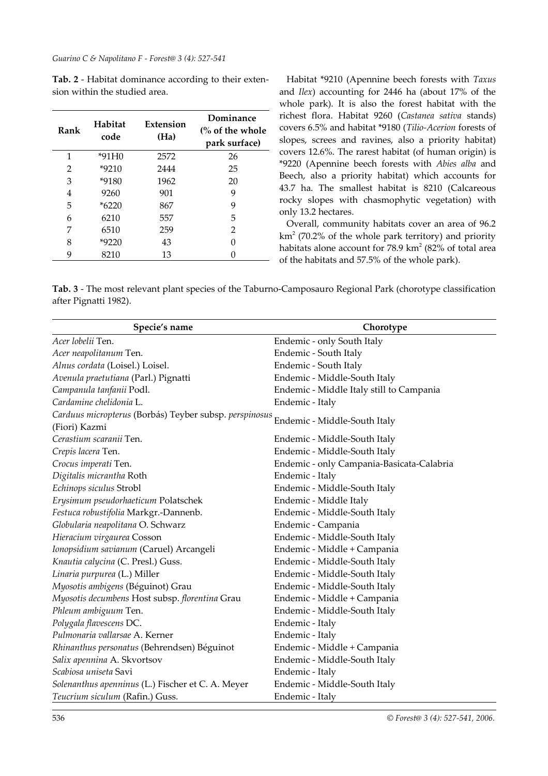*Guarino C & Napolitano F - Forest@ 3 (4): 527-541*

<span id="page-9-0"></span>**Tab. 2** - Habitat dominance according to their extension within the studied area.

| Rank | Habitat<br>code | Extension<br>(Ha) | Dominance<br>$\frac{6}{6}$ of the whole<br>park surface) |
|------|-----------------|-------------------|----------------------------------------------------------|
| 1    | *91H0           | 2572              | 26                                                       |
| 2    | $*9210$         | 2444              | 25                                                       |
| 3    | *9180           | 1962              | 20                                                       |
| 4    | 9260            | 901               | 9                                                        |
| 5    | $*6220$         | 867               | 9                                                        |
| 6    | 6210            | 557               | 5                                                        |
| 7    | 6510            | 259               | 2                                                        |
| 8    | $*9220$         | 43                | 0                                                        |
| 9    | 8210            | 13                |                                                          |

Habitat \*9210 (Apennine beech forests with *Taxus* and *Ilex*) accounting for 2446 ha (about 17% of the whole park). It is also the forest habitat with the richest flora. Habitat 9260 (*Castanea sativa* stands) covers 6.5% and habitat \*9180 (*Tilio-Acerion* forests of slopes, screes and ravines, also a priority habitat) covers 12.6%. The rarest habitat (of human origin) is \*9220 (Apennine beech forests with *Abies alba* and Beech, also a priority habitat) which accounts for 43.7 ha. The smallest habitat is 8210 (Calcareous rocky slopes with chasmophytic vegetation) with only 13.2 hectares.

Overall, community habitats cover an area of 96.2  $km<sup>2</sup>$  (70.2% of the whole park territory) and priority habitats alone account for  $78.9 \text{ km}^2$  (82% of total area of the habitats and 57.5% of the whole park).

<span id="page-9-1"></span>**Tab. 3** - The most relevant plant species of the Taburno-Camposauro Regional Park (chorotype classification after Pignatti 1982).

| Specie's name                                                           | Chorotype                                 |
|-------------------------------------------------------------------------|-------------------------------------------|
| Acer lobelii Ten.                                                       | Endemic - only South Italy                |
| Acer neapolitanum Ten.                                                  | Endemic - South Italy                     |
| Alnus cordata (Loisel.) Loisel.                                         | Endemic - South Italy                     |
| Avenula praetutiana (Parl.) Pignatti                                    | Endemic - Middle-South Italy              |
| Campanula tanfanii Podl.                                                | Endemic - Middle Italy still to Campania  |
| Cardamine chelidonia L.                                                 | Endemic - Italy                           |
| Carduus micropterus (Borbás) Teyber subsp. perspinosus<br>(Fiori) Kazmi | Endemic - Middle-South Italy              |
| Cerastium scaranii Ten.                                                 | Endemic - Middle-South Italy              |
| Crepis lacera Ten.                                                      | Endemic - Middle-South Italy              |
| Crocus imperati Ten.                                                    | Endemic - only Campania-Basicata-Calabria |
| Digitalis micrantha Roth                                                | Endemic - Italy                           |
| Echinops siculus Strobl                                                 | Endemic - Middle-South Italy              |
| Erysimum pseudorhaeticum Polatschek                                     | Endemic - Middle Italy                    |
| Festuca robustifolia Markgr.-Dannenb.                                   | Endemic - Middle-South Italy              |
| Globularia neapolitana O. Schwarz                                       | Endemic - Campania                        |
| Hieracium virgaurea Cosson                                              | Endemic - Middle-South Italy              |
| Ionopsidium savianum (Caruel) Arcangeli                                 | Endemic - Middle + Campania               |
| Knautia calycina (C. Presl.) Guss.                                      | Endemic - Middle-South Italy              |
| Linaria purpurea (L.) Miller                                            | Endemic - Middle-South Italy              |
| Myosotis ambigens (Béguinot) Grau                                       | Endemic - Middle-South Italy              |
| Myosotis decumbens Host subsp. florentina Grau                          | Endemic - Middle + Campania               |
| Phleum ambiguum Ten.                                                    | Endemic - Middle-South Italy              |
| Polygala flavescens DC.                                                 | Endemic - Italy                           |
| Pulmonaria vallarsae A. Kerner                                          | Endemic - Italy                           |
| Rhinanthus personatus (Behrendsen) Béguinot                             | Endemic - Middle + Campania               |
| Salix apennina A. Skvortsov                                             | Endemic - Middle-South Italy              |
| Scabiosa uniseta Savi                                                   | Endemic - Italy                           |
| Solenanthus apenninus (L.) Fischer et C. A. Meyer                       | Endemic - Middle-South Italy              |
| Teucrium siculum (Rafin.) Guss.                                         | Endemic - Italy                           |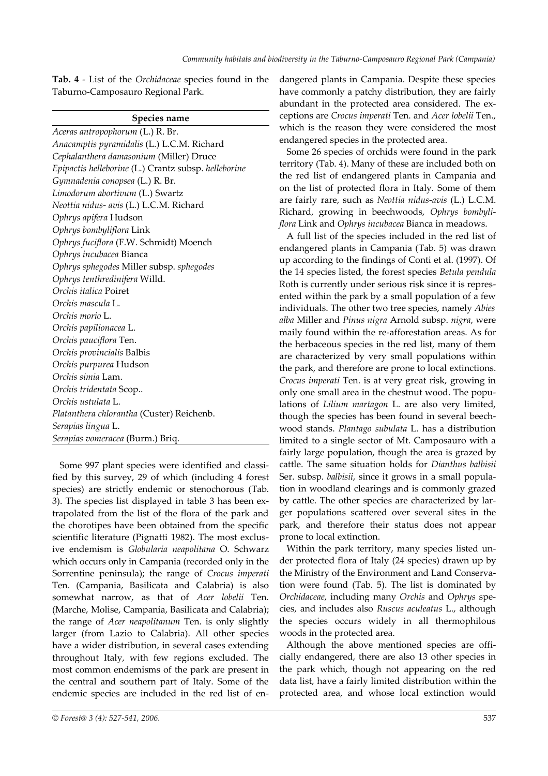<span id="page-10-0"></span>**Tab. 4** - List of the *Orchidaceae* species found in the Taburno-Camposauro Regional Park.

|  | <b>Species name</b> |
|--|---------------------|
|  |                     |

*Aceras antropophorum* (L.) R. Br. *Anacamptis pyramidalis* (L.) L.C.M. Richard *Cephalanthera damasonium* (Miller) Druce *Epipactis helleborine* (L.) Crantz subsp. *helleborine Gymnadenia conopsea* (L.) R. Br. *Limodorum abortivum* (L.) Swartz *Neottia nidus- avis* (L.) L.C.M. Richard *Ophrys apifera* Hudson *Ophrys bombyliflora* Link *Ophrys fuciflora* (F.W. Schmidt) Moench *Ophrys incubacea* Bianca *Ophrys sphegodes* Miller subsp. *sphegodes Ophrys tenthredinifera* Willd. *Orchis italica* Poiret *Orchis mascula* L. *Orchis morio* L. *Orchis papilionacea* L. *Orchis pauciflora* Ten. *Orchis provincialis* Balbis *Orchis purpurea* Hudson *Orchis simia* Lam. *Orchis tridentata* Scop.. *Orchis ustulata* L. *Platanthera chlorantha* (Custer) Reichenb. *Serapias lingua* L. *Serapias vomeracea* (Burm.) Briq.

Some 997 plant species were identified and classified by this survey, 29 of which (including 4 forest species) are strictly endemic or stenochorous ([Tab.](#page-9-1) [3\)](#page-9-1). The species list displayed in table 3 has been extrapolated from the list of the flora of the park and the chorotipes have been obtained from the specific scientific literature (Pignatti 1982). The most exclusive endemism is *Globularia neapolitana* O. Schwarz which occurs only in Campania (recorded only in the Sorrentine peninsula); the range of *Crocus imperati* Ten. (Campania, Basilicata and Calabria) is also somewhat narrow, as that of *Acer lobelii* Ten. (Marche, Molise, Campania, Basilicata and Calabria); the range of *Acer neapolitanum* Ten. is only slightly larger (from Lazio to Calabria). All other species have a wider distribution, in several cases extending throughout Italy, with few regions excluded. The most common endemisms of the park are present in the central and southern part of Italy. Some of the endemic species are included in the red list of endangered plants in Campania. Despite these species have commonly a patchy distribution, they are fairly abundant in the protected area considered. The exceptions are *Crocus imperati* Ten. and *Acer lobelii* Ten., which is the reason they were considered the most endangered species in the protected area.

Some 26 species of orchids were found in the park territory [\(Tab.](#page-10-0) 4). Many of these are included both on the red list of endangered plants in Campania and on the list of protected flora in Italy. Some of them are fairly rare, such as *Neottia nidus-avis* (L.) L.C.M. Richard, growing in beechwoods, *Ophrys bombyliflora* Link and *Ophrys incubacea* Bianca in meadows.

A full list of the species included in the red list of endangered plants in Campania [\(Tab.](#page-11-0) 5) was drawn up according to the findings of Conti et al. (1997). Of the 14 species listed, the forest species *Betula pendula* Roth is currently under serious risk since it is represented within the park by a small population of a few individuals. The other two tree species, namely *Abies alba* Miller and *Pinus nigra* Arnold subsp. *nigra*, were maily found within the re-afforestation areas. As for the herbaceous species in the red list, many of them are characterized by very small populations within the park, and therefore are prone to local extinctions. *Crocus imperati* Ten. is at very great risk, growing in only one small area in the chestnut wood. The populations of *Lilium martagon* L. are also very limited, though the species has been found in several beechwood stands. *Plantago subulata* L. has a distribution limited to a single sector of Mt. Camposauro with a fairly large population, though the area is grazed by cattle. The same situation holds for *Dianthus balbisii* Ser. subsp. *balbisii*, since it grows in a small population in woodland clearings and is commonly grazed by cattle. The other species are characterized by larger populations scattered over several sites in the park, and therefore their status does not appear prone to local extinction.

Within the park territory, many species listed under protected flora of Italy (24 species) drawn up by the Ministry of the Environment and Land Conservation were found ([Tab.](#page-11-0) 5). The list is dominated by *Orchidaceae*, including many *Orchis* and *Ophrys* species, and includes also *Ruscus aculeatus* L., although the species occurs widely in all thermophilous woods in the protected area.

Although the above mentioned species are officially endangered, there are also 13 other species in the park which, though not appearing on the red data list, have a fairly limited distribution within the protected area, and whose local extinction would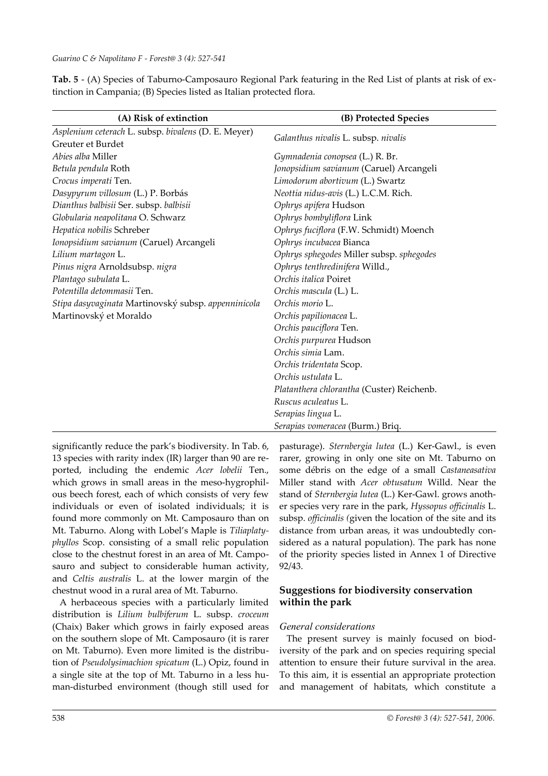<span id="page-11-0"></span>**Tab. 5** - (A) Species of Taburno-Camposauro Regional Park featuring in the Red List of plants at risk of extinction in Campania; (B) Species listed as Italian protected flora.

| (A) Risk of extinction                              | (B) Protected Species                     |  |  |  |
|-----------------------------------------------------|-------------------------------------------|--|--|--|
| Asplenium ceterach L. subsp. bivalens (D. E. Meyer) |                                           |  |  |  |
| Greuter et Burdet                                   | Galanthus nivalis L. subsp. nivalis       |  |  |  |
| <i>Abies alba</i> Miller                            | Gymnadenia conopsea (L.) R. Br.           |  |  |  |
| Betula pendula Roth                                 | Jonopsidium savianum (Caruel) Arcangeli   |  |  |  |
| Crocus imperati Ten.                                | Limodorum abortivum (L.) Swartz           |  |  |  |
| Dasypyrum villosum (L.) P. Borbás                   | Neottia nidus-avis (L.) L.C.M. Rich.      |  |  |  |
| Dianthus balbisii Ser. subsp. balbisii              | Ophrys apifera Hudson                     |  |  |  |
| Globularia neapolitana O. Schwarz                   | Ophrys bombyliflora Link                  |  |  |  |
| Hepatica nobilis Schreber                           | Ophrys fuciflora (F.W. Schmidt) Moench    |  |  |  |
| Ionopsidium savianum (Caruel) Arcangeli             | Ophrys incubacea Bianca                   |  |  |  |
| Lilium martagon L.                                  | Ophrys sphegodes Miller subsp. sphegodes  |  |  |  |
| Pinus nigra Arnoldsubsp. nigra                      | Ophrys tenthredinifera Willd.,            |  |  |  |
| Plantago subulata L.                                | Orchis italica Poiret                     |  |  |  |
| Potentilla detommasii Ten.                          | Orchis mascula (L.) L.                    |  |  |  |
| Stipa dasyvaginata Martinovský subsp. appenninicola | Orchis morio L.                           |  |  |  |
| Martinovský et Moraldo                              | Orchis papilionacea L.                    |  |  |  |
|                                                     | Orchis pauciflora Ten.                    |  |  |  |
|                                                     | Orchis purpurea Hudson                    |  |  |  |
|                                                     | Orchis simia Lam.                         |  |  |  |
|                                                     | Orchis tridentata Scop.                   |  |  |  |
|                                                     | Orchis ustulata L.                        |  |  |  |
|                                                     | Platanthera chlorantha (Custer) Reichenb. |  |  |  |
|                                                     | Ruscus aculeatus L.                       |  |  |  |
|                                                     | Serapias lingua L.                        |  |  |  |
|                                                     | Serapias vomeracea (Burm.) Briq.          |  |  |  |

significantly reduce the park's biodiversity. In [Tab.](#page-12-0) 6, 13 species with rarity index (IR) larger than 90 are reported, including the endemic *Acer lobelii* Ten., which grows in small areas in the meso-hygrophilous beech forest, each of which consists of very few individuals or even of isolated individuals; it is found more commonly on Mt. Camposauro than on Mt. Taburno. Along with Lobel's Maple is *Tiliaplatyphyllos* Scop. consisting of a small relic population close to the chestnut forest in an area of Mt. Camposauro and subject to considerable human activity, and *Celtis australis* L. at the lower margin of the chestnut wood in a rural area of Mt. Taburno.

A herbaceous species with a particularly limited distribution is *Lilium bulbiferum* L. subsp. *croceum* (Chaix) Baker which grows in fairly exposed areas on the southern slope of Mt. Camposauro (it is rarer on Mt. Taburno). Even more limited is the distribution of *Pseudolysimachion spicatum* (L.) Opiz, found in a single site at the top of Mt. Taburno in a less human-disturbed environment (though still used for

pasturage). *Sternbergia lutea* (L.) Ker-Gawl., is even rarer, growing in only one site on Mt. Taburno on some débris on the edge of a small *Castaneasativa* Miller stand with *Acer obtusatum* Willd. Near the stand of *Sternbergia lutea* (L.) Ker-Gawl. grows another species very rare in the park, *Hyssopus officinalis* L. subsp. *officinalis (*given the location of the site and its distance from urban areas, it was undoubtedly considered as a natural population). The park has none of the priority species listed in Annex 1 of Directive 92/43.

# **Suggestions for biodiversity conservation within the park**

# *General considerations*

The present survey is mainly focused on biodiversity of the park and on species requiring special attention to ensure their future survival in the area. To this aim, it is essential an appropriate protection and management of habitats, which constitute a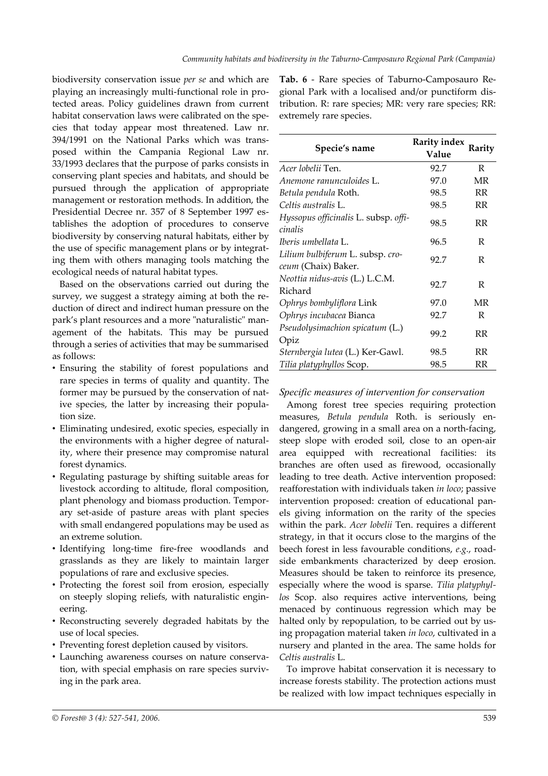biodiversity conservation issue *per se* and which are playing an increasingly multi-functional role in protected areas. Policy guidelines drawn from current habitat conservation laws were calibrated on the species that today appear most threatened. Law nr. 394/1991 on the National Parks which was transposed within the Campania Regional Law nr. 33/1993 declares that the purpose of parks consists in conserving plant species and habitats, and should be pursued through the application of appropriate management or restoration methods. In addition, the Presidential Decree nr. 357 of 8 September 1997 establishes the adoption of procedures to conserve biodiversity by conserving natural habitats, either by the use of specific management plans or by integrating them with others managing tools matching the ecological needs of natural habitat types.

Based on the observations carried out during the survey, we suggest a strategy aiming at both the reduction of direct and indirect human pressure on the park's plant resources and a more "naturalistic" management of the habitats. This may be pursued through a series of activities that may be summarised as follows:

- Ensuring the stability of forest populations and rare species in terms of quality and quantity. The former may be pursued by the conservation of native species, the latter by increasing their population size.
- Eliminating undesired, exotic species, especially in the environments with a higher degree of naturality, where their presence may compromise natural forest dynamics.
- Regulating pasturage by shifting suitable areas for livestock according to altitude, floral composition, plant phenology and biomass production. Temporary set-aside of pasture areas with plant species with small endangered populations may be used as an extreme solution.
- Identifying long-time fire-free woodlands and grasslands as they are likely to maintain larger populations of rare and exclusive species.
- Protecting the forest soil from erosion, especially on steeply sloping reliefs, with naturalistic engineering.
- Reconstructing severely degraded habitats by the use of local species.
- Preventing forest depletion caused by visitors.
- Launching awareness courses on nature conservation, with special emphasis on rare species surviving in the park area.

<span id="page-12-0"></span>**Tab. 6** - Rare species of Taburno-Camposauro Regional Park with a localised and/or punctiform distribution. R: rare species; MR: very rare species; RR: extremely rare species.

| Specie's name                                           | <b>Rarity index</b><br>Value | Rarity    |
|---------------------------------------------------------|------------------------------|-----------|
| Acer lobelii Ten.                                       | 92.7                         | R         |
| Anemone ranunculoides L.                                | 97.0                         | MR        |
| Betula pendula Roth.                                    | 98.5                         | <b>RR</b> |
| Celtis australis L.                                     | 98.5                         | RR        |
| Hyssopus officinalis L. subsp. offi-<br>cinalis         | 98.5                         | RR        |
| Iberis umbellata L.                                     | 96.5                         | R         |
| Lilium bulbiferum L. subsp. cro-<br>ceum (Chaix) Baker. | 92.7                         | R         |
| Neottia nidus-avis (L.) L.C.M.<br>Richard               | 92.7                         | R         |
| Ophrys bombyliflora Link                                | 97.0                         | MR        |
| Ophrys incubacea Bianca                                 | 92.7                         | R         |
| Pseudolysimachion spicatum (L.)<br>Opiz                 | 99.2                         | RR        |
| Sternbergia lutea (L.) Ker-Gawl.                        | 98.5                         | <b>RR</b> |
| Tilia platyphyllos Scop.                                | 98.5                         | RR        |

*Specific measures of intervention for conservation*

Among forest tree species requiring protection measures, *Betula pendula* Roth. is seriously endangered, growing in a small area on a north-facing, steep slope with eroded soil, close to an open-air area equipped with recreational facilities: its branches are often used as firewood, occasionally leading to tree death. Active intervention proposed: reafforestation with individuals taken *in loco*; passive intervention proposed: creation of educational panels giving information on the rarity of the species within the park. *Acer lobelii* Ten. requires a different strategy, in that it occurs close to the margins of the beech forest in less favourable conditions, *e.g.*, roadside embankments characterized by deep erosion. Measures should be taken to reinforce its presence, especially where the wood is sparse. *Tilia platyphyllos* Scop. also requires active interventions, being menaced by continuous regression which may be halted only by repopulation, to be carried out by using propagation material taken *in loco*, cultivated in a nursery and planted in the area. The same holds for *Celtis australis* L.

To improve habitat conservation it is necessary to increase forests stability. The protection actions must be realized with low impact techniques especially in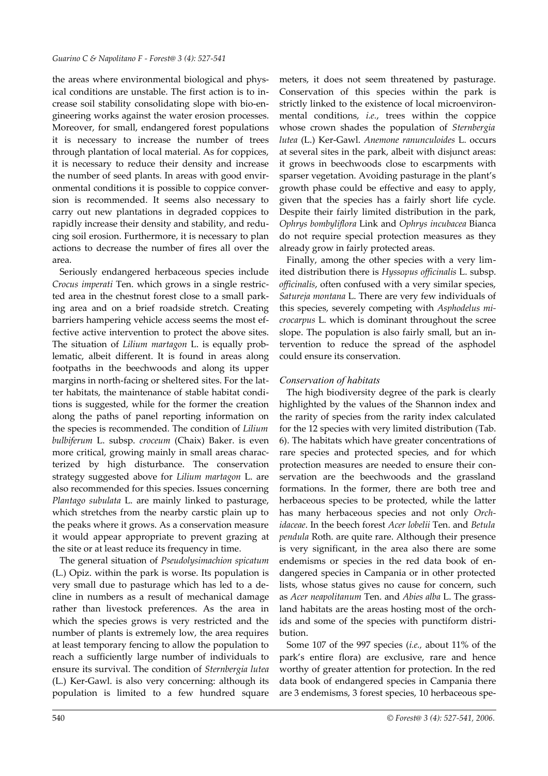the areas where environmental biological and physical conditions are unstable. The first action is to increase soil stability consolidating slope with bio-engineering works against the water erosion processes. Moreover, for small, endangered forest populations it is necessary to increase the number of trees through plantation of local material. As for coppices, it is necessary to reduce their density and increase the number of seed plants. In areas with good environmental conditions it is possible to coppice conversion is recommended. It seems also necessary to carry out new plantations in degraded coppices to rapidly increase their density and stability, and reducing soil erosion. Furthermore, it is necessary to plan actions to decrease the number of fires all over the area.

Seriously endangered herbaceous species include *Crocus imperati* Ten. which grows in a single restricted area in the chestnut forest close to a small parking area and on a brief roadside stretch. Creating barriers hampering vehicle access seems the most effective active intervention to protect the above sites. The situation of *Lilium martagon* L. is equally problematic, albeit different. It is found in areas along footpaths in the beechwoods and along its upper margins in north-facing or sheltered sites. For the latter habitats, the maintenance of stable habitat conditions is suggested, while for the former the creation along the paths of panel reporting information on the species is recommended. The condition of *Lilium bulbiferum* L. subsp. *croceum* (Chaix) Baker. is even more critical, growing mainly in small areas characterized by high disturbance. The conservation strategy suggested above for *Lilium martagon* L. are also recommended for this species. Issues concerning *Plantago subulata* L. are mainly linked to pasturage, which stretches from the nearby carstic plain up to the peaks where it grows. As a conservation measure it would appear appropriate to prevent grazing at the site or at least reduce its frequency in time.

The general situation of *Pseudolysimachion spicatum* (L.) Opiz. within the park is worse. Its population is very small due to pasturage which has led to a decline in numbers as a result of mechanical damage rather than livestock preferences. As the area in which the species grows is very restricted and the number of plants is extremely low, the area requires at least temporary fencing to allow the population to reach a sufficiently large number of individuals to ensure its survival. The condition of *Sternbergia lutea* (L.) Ker-Gawl. is also very concerning: although its population is limited to a few hundred square meters, it does not seem threatened by pasturage. Conservation of this species within the park is strictly linked to the existence of local microenvironmental conditions, *i.e.*, trees within the coppice whose crown shades the population of *Sternbergia lutea* (L.) Ker-Gawl. *Anemone ranunculoides* L. occurs at several sites in the park, albeit with disjunct areas: it grows in beechwoods close to escarpments with sparser vegetation. Avoiding pasturage in the plant's growth phase could be effective and easy to apply, given that the species has a fairly short life cycle. Despite their fairly limited distribution in the park, *Ophrys bombyliflora* Link and *Ophrys incubacea* Bianca do not require special protection measures as they already grow in fairly protected areas.

Finally, among the other species with a very limited distribution there is *Hyssopus officinalis* L. subsp. *officinalis*, often confused with a very similar species, *Satureja montana* L. There are very few individuals of this species, severely competing with *Asphodelus microcarpus* L. which is dominant throughout the scree slope. The population is also fairly small, but an intervention to reduce the spread of the asphodel could ensure its conservation.

### *Conservation of habitats*

The high biodiversity degree of the park is clearly highlighted by the values of the Shannon index and the rarity of species from the rarity index calculated for the 12 species with very limited distribution ([Tab.](#page-12-0) [6](#page-12-0)). The habitats which have greater concentrations of rare species and protected species, and for which protection measures are needed to ensure their conservation are the beechwoods and the grassland formations. In the former, there are both tree and herbaceous species to be protected, while the latter has many herbaceous species and not only *Orchidaceae*. In the beech forest *Acer lobelii* Ten. and *Betula pendula* Roth. are quite rare. Although their presence is very significant, in the area also there are some endemisms or species in the red data book of endangered species in Campania or in other protected lists, whose status gives no cause for concern, such as *Acer neapolitanum* Ten. and *Abies alba* L. The grassland habitats are the areas hosting most of the orchids and some of the species with punctiform distribution.

Some 107 of the 997 species (*i.e.,* about 11% of the park's entire flora) are exclusive, rare and hence worthy of greater attention for protection. In the red data book of endangered species in Campania there are 3 endemisms, 3 forest species, 10 herbaceous spe-